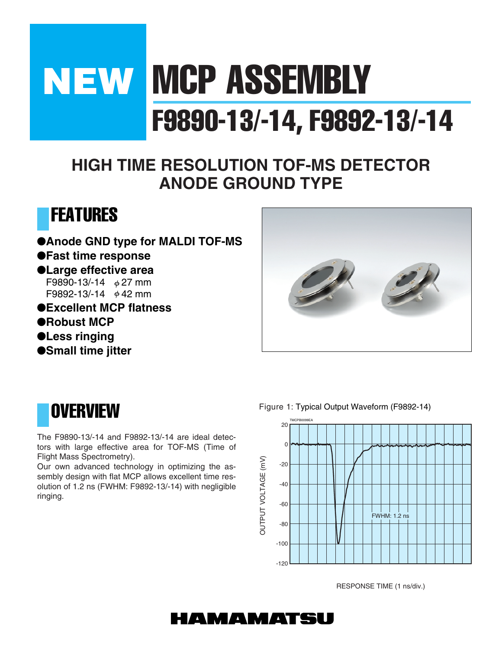# **NEW MCP ASSEMBLY** F9890-13/-14, F9892-13/-14

### **HIGH TIME RESOLUTION TOF-MS DETECTOR ANODE GROUND TYPE**



●**Anode GND type for MALDI TOF-MS** ●**Fast time response** ●**Large effective area** F9890-13/-14  $\phi$  27 mm F9892-13/-14  $\phi$  42 mm ●**Excellent MCP flatness** ●**Robust MCP** ●**Less ringing**





●**Small time jitter**

The F9890-13/-14 and F9892-13/-14 are ideal detectors with large effective area for TOF-MS (Time of Flight Mass Spectrometry).

Our own advanced technology in optimizing the assembly design with flat MCP allows excellent time resolution of 1.2 ns (FWHM: F9892-13/-14) with negligible ringing.

Figure 1: Typical Output Waveform (F9892-14)



RESPONSE TIME (1 ns/div.)